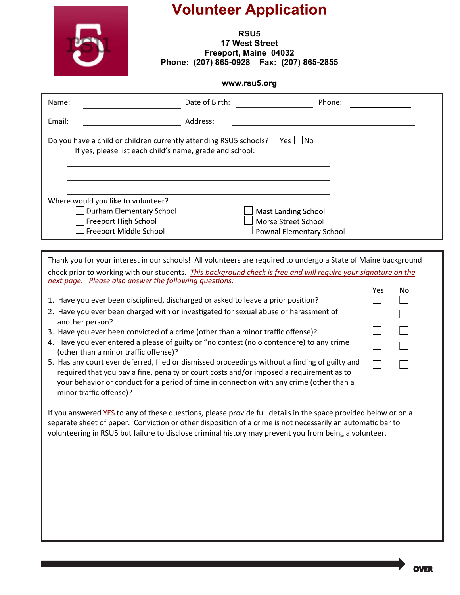

 $\begin{array}{ccc} & \square & \square \end{array}$